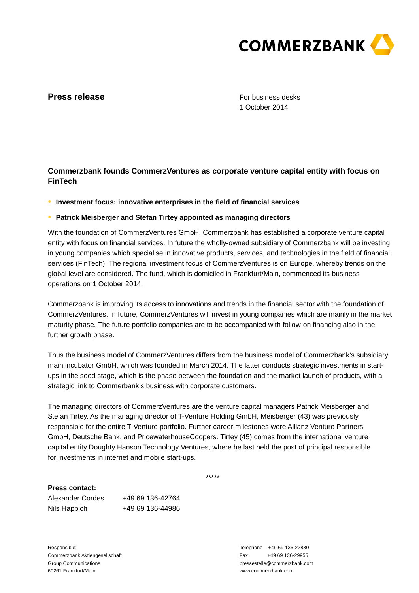

## **Press release**

For business desks 1 October 2014

# **Commerzbank founds CommerzVentures as corporate venture capital entity with focus on FinTech**

**● Investment focus: innovative enterprises in the field of financial services** 

### **● Patrick Meisberger and Stefan Tirtey appointed as managing directors**

With the foundation of CommerzVentures GmbH, Commerzbank has established a corporate venture capital entity with focus on financial services. In future the wholly-owned subsidiary of Commerzbank will be investing in young companies which specialise in innovative products, services, and technologies in the field of financial services (FinTech). The regional investment focus of CommerzVentures is on Europe, whereby trends on the global level are considered. The fund, which is domiciled in Frankfurt/Main, commenced its business operations on 1 October 2014.

Commerzbank is improving its access to innovations and trends in the financial sector with the foundation of CommerzVentures. In future, CommerzVentures will invest in young companies which are mainly in the market maturity phase. The future portfolio companies are to be accompanied with follow-on financing also in the further growth phase.

Thus the business model of CommerzVentures differs from the business model of Commerzbank's subsidiary main incubator GmbH, which was founded in March 2014. The latter conducts strategic investments in startups in the seed stage, which is the phase between the foundation and the market launch of products, with a strategic link to Commerbank's business with corporate customers.

The managing directors of CommerzVentures are the venture capital managers Patrick Meisberger and Stefan Tirtey. As the managing director of T-Venture Holding GmbH, Meisberger (43) was previously responsible for the entire T-Venture portfolio. Further career milestones were Allianz Venture Partners GmbH, Deutsche Bank, and PricewaterhouseCoopers. Tirtey (45) comes from the international venture capital entity Doughty Hanson Technology Ventures, where he last held the post of principal responsible for investments in internet and mobile start-ups.

\*\*\*\*\*

#### **Press contact:**

| Alexander Cordes | +49 69 136-42764 |
|------------------|------------------|
| Nils Happich     | +49 69 136-44986 |

Responsible: Commerzbank Aktiengesellschaft Group Communications 60261 Frankfurt/Main

Telephone +49 69 136-22830 Fax +49 69 136-29955 pressestelle@commerzbank.com www.commerzbank.com